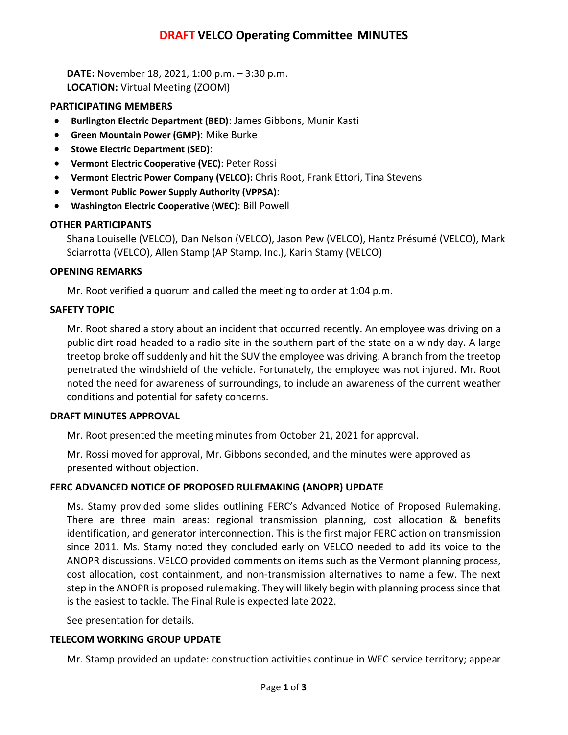# **DRAFT VELCO Operating Committee MINUTES**

**DATE:** November 18, 2021, 1:00 p.m. – 3:30 p.m. **LOCATION:** Virtual Meeting (ZOOM)

### **PARTICIPATING MEMBERS**

- **Burlington Electric Department (BED)**: James Gibbons, Munir Kasti
- **Green Mountain Power (GMP)**: Mike Burke
- **Stowe Electric Department (SED)**:
- **Vermont Electric Cooperative (VEC)**: Peter Rossi
- **Vermont Electric Power Company (VELCO):** Chris Root, Frank Ettori, Tina Stevens
- **Vermont Public Power Supply Authority (VPPSA)**:
- **Washington Electric Cooperative (WEC)**: Bill Powell

## **OTHER PARTICIPANTS**

Shana Louiselle (VELCO), Dan Nelson (VELCO), Jason Pew (VELCO), Hantz Présumé (VELCO), Mark Sciarrotta (VELCO), Allen Stamp (AP Stamp, Inc.), Karin Stamy (VELCO)

## **OPENING REMARKS**

Mr. Root verified a quorum and called the meeting to order at 1:04 p.m.

## **SAFETY TOPIC**

Mr. Root shared a story about an incident that occurred recently. An employee was driving on a public dirt road headed to a radio site in the southern part of the state on a windy day. A large treetop broke off suddenly and hit the SUV the employee was driving. A branch from the treetop penetrated the windshield of the vehicle. Fortunately, the employee was not injured. Mr. Root noted the need for awareness of surroundings, to include an awareness of the current weather conditions and potential for safety concerns.

### **DRAFT MINUTES APPROVAL**

Mr. Root presented the meeting minutes from October 21, 2021 for approval.

Mr. Rossi moved for approval, Mr. Gibbons seconded, and the minutes were approved as presented without objection.

## **FERC ADVANCED NOTICE OF PROPOSED RULEMAKING (ANOPR) UPDATE**

Ms. Stamy provided some slides outlining FERC's Advanced Notice of Proposed Rulemaking. There are three main areas: regional transmission planning, cost allocation & benefits identification, and generator interconnection. This is the first major FERC action on transmission since 2011. Ms. Stamy noted they concluded early on VELCO needed to add its voice to the ANOPR discussions. VELCO provided comments on items such as the Vermont planning process, cost allocation, cost containment, and non-transmission alternatives to name a few. The next step in the ANOPR is proposed rulemaking. They will likely begin with planning process since that is the easiest to tackle. The Final Rule is expected late 2022.

See presentation for details.

### **TELECOM WORKING GROUP UPDATE**

Mr. Stamp provided an update: construction activities continue in WEC service territory; appear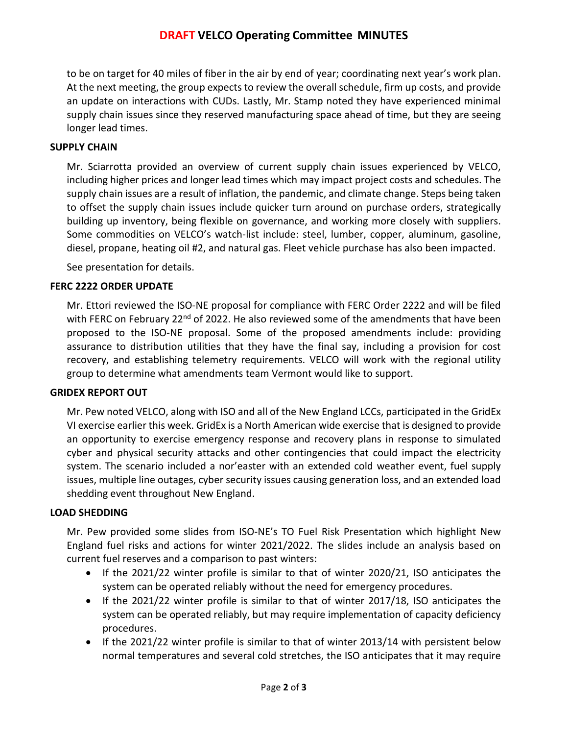# **DRAFT VELCO Operating Committee MINUTES**

to be on target for 40 miles of fiber in the air by end of year; coordinating next year's work plan. At the next meeting, the group expects to review the overall schedule, firm up costs, and provide an update on interactions with CUDs. Lastly, Mr. Stamp noted they have experienced minimal supply chain issues since they reserved manufacturing space ahead of time, but they are seeing longer lead times.

### **SUPPLY CHAIN**

Mr. Sciarrotta provided an overview of current supply chain issues experienced by VELCO, including higher prices and longer lead times which may impact project costs and schedules. The supply chain issues are a result of inflation, the pandemic, and climate change. Steps being taken to offset the supply chain issues include quicker turn around on purchase orders, strategically building up inventory, being flexible on governance, and working more closely with suppliers. Some commodities on VELCO's watch-list include: steel, lumber, copper, aluminum, gasoline, diesel, propane, heating oil #2, and natural gas. Fleet vehicle purchase has also been impacted.

See presentation for details.

### **FERC 2222 ORDER UPDATE**

Mr. Ettori reviewed the ISO-NE proposal for compliance with FERC Order 2222 and will be filed with FERC on February 22<sup>nd</sup> of 2022. He also reviewed some of the amendments that have been proposed to the ISO-NE proposal. Some of the proposed amendments include: providing assurance to distribution utilities that they have the final say, including a provision for cost recovery, and establishing telemetry requirements. VELCO will work with the regional utility group to determine what amendments team Vermont would like to support.

### **GRIDEX REPORT OUT**

Mr. Pew noted VELCO, along with ISO and all of the New England LCCs, participated in the GridEx VI exercise earlier this week. GridEx is a North American wide exercise that is designed to provide an opportunity to exercise emergency response and recovery plans in response to simulated cyber and physical security attacks and other contingencies that could impact the electricity system. The scenario included a nor'easter with an extended cold weather event, fuel supply issues, multiple line outages, cyber security issues causing generation loss, and an extended load shedding event throughout New England.

#### **LOAD SHEDDING**

Mr. Pew provided some slides from ISO-NE's TO Fuel Risk Presentation which highlight New England fuel risks and actions for winter 2021/2022. The slides include an analysis based on current fuel reserves and a comparison to past winters:

- If the 2021/22 winter profile is similar to that of winter 2020/21, ISO anticipates the system can be operated reliably without the need for emergency procedures.
- If the 2021/22 winter profile is similar to that of winter 2017/18, ISO anticipates the system can be operated reliably, but may require implementation of capacity deficiency procedures.
- If the 2021/22 winter profile is similar to that of winter 2013/14 with persistent below normal temperatures and several cold stretches, the ISO anticipates that it may require